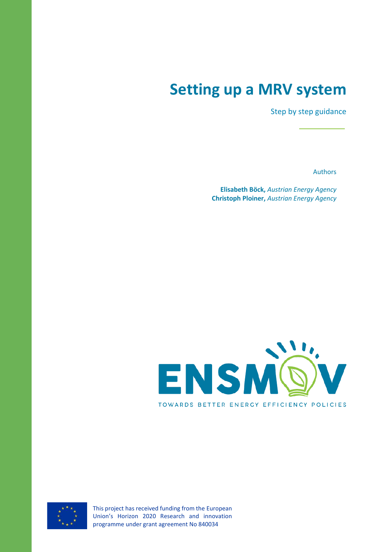# **Setting up a MRV system**

Step by step guidance

Authors

**Elisabeth Böck,** *Austrian Energy Agency* **Christoph Ploiner,** *Austrian Energy Agency*





This project has received funding from the European Union's Horizon 2020 Research and innovation programme under grant agreement No 840034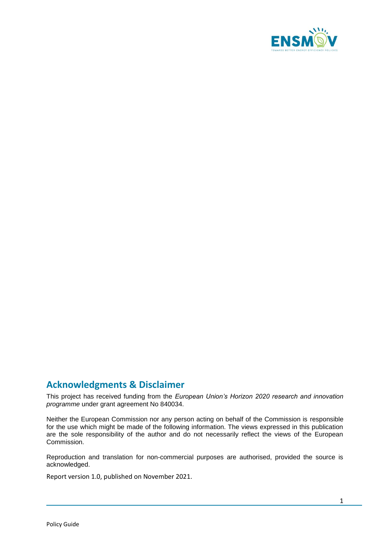

# **Acknowledgments & Disclaimer**

This project has received funding from the *European Union's Horizon 2020 research and innovation programme* under grant agreement No 840034.

Neither the European Commission nor any person acting on behalf of the Commission is responsible for the use which might be made of the following information. The views expressed in this publication are the sole responsibility of the author and do not necessarily reflect the views of the European Commission.

Reproduction and translation for non-commercial purposes are authorised, provided the source is acknowledged.

Report version 1.0, published on November 2021.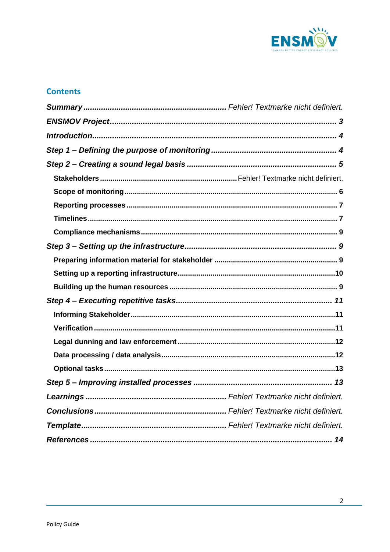

# **Contents**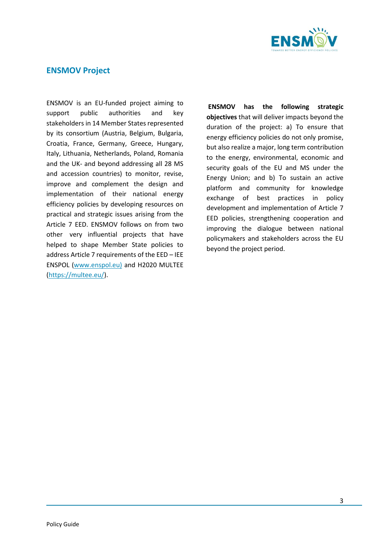

## <span id="page-3-0"></span>**ENSMOV Project**

ENSMOV is an EU-funded project aiming to support public authorities and key stakeholders in 14 Member States represented by its consortium (Austria, Belgium, Bulgaria, Croatia, France, Germany, Greece, Hungary, Italy, Lithuania, Netherlands, Poland, Romania and the UK- and beyond addressing all 28 MS and accession countries) to monitor, revise, improve and complement the design and implementation of their national energy efficiency policies by developing resources on practical and strategic issues arising from the Article 7 EED. ENSMOV follows on from two other very influential projects that have helped to shape Member State policies to address Article 7 requirements of the EED – IEE ENSPOL [\(www.enspol.eu\)](http://www.enspol.eu/) and H2020 MULTEE [\(https://multee.eu/\)](https://multee.eu/).

**ENSMOV has the following strategic objectives** that will deliver impacts beyond the duration of the project: a) To ensure that energy efficiency policies do not only promise, but also realize a major, long term contribution to the energy, environmental, economic and security goals of the EU and MS under the Energy Union; and b) To sustain an active platform and community for knowledge exchange of best practices in policy development and implementation of Article 7 EED policies, strengthening cooperation and improving the dialogue between national policymakers and stakeholders across the EU beyond the project period.

3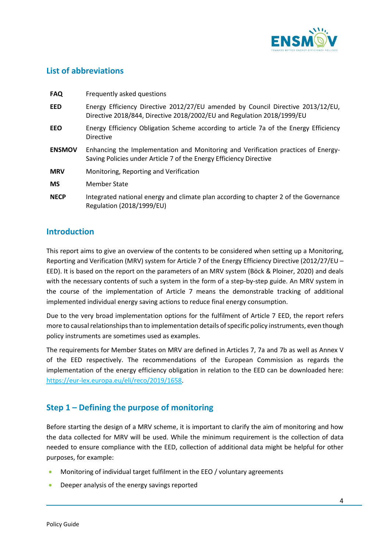

## <span id="page-4-0"></span>**List of abbreviations**

| <b>FAQ</b>    | Frequently asked questions                                                                                                                                |
|---------------|-----------------------------------------------------------------------------------------------------------------------------------------------------------|
| <b>EED</b>    | Energy Efficiency Directive 2012/27/EU amended by Council Directive 2013/12/EU,<br>Directive 2018/844, Directive 2018/2002/EU and Regulation 2018/1999/EU |
| <b>EEO</b>    | Energy Efficiency Obligation Scheme according to article 7a of the Energy Efficiency<br><b>Directive</b>                                                  |
| <b>ENSMOV</b> | Enhancing the Implementation and Monitoring and Verification practices of Energy-<br>Saving Policies under Article 7 of the Energy Efficiency Directive   |
| <b>MRV</b>    | Monitoring, Reporting and Verification                                                                                                                    |
| <b>MS</b>     | Member State                                                                                                                                              |
| <b>NECP</b>   | Integrated national energy and climate plan according to chapter 2 of the Governance<br>Regulation (2018/1999/EU)                                         |

## **Introduction**

This report aims to give an overview of the contents to be considered when setting up a Monitoring, Reporting and Verification (MRV) system for Article 7 of the Energy Efficiency Directive (2012/27/EU – EED). It is based on the report on the parameters of an MRV system (Böck & Ploiner, 2020) and deals with the necessary contents of such a system in the form of a step-by-step guide. An MRV system in the course of the implementation of Article 7 means the demonstrable tracking of additional implemented individual energy saving actions to reduce final energy consumption.

Due to the very broad implementation options for the fulfilment of Article 7 EED, the report refers more to causal relationships than to implementation details of specific policy instruments, even though policy instruments are sometimes used as examples.

The requirements for Member States on MRV are defined in Articles 7, 7a and 7b as well as Annex V of the EED respectively. The recommendations of the European Commission as regards the implementation of the energy efficiency obligation in relation to the EED can be downloaded here: [https://eur-lex.europa.eu/eli/reco/2019/1658.](https://eur-lex.europa.eu/eli/reco/2019/1658)

# <span id="page-4-1"></span>**Step 1 – Defining the purpose of monitoring**

Before starting the design of a MRV scheme, it is important to clarify the aim of monitoring and how the data collected for MRV will be used. While the minimum requirement is the collection of data needed to ensure compliance with the EED, collection of additional data might be helpful for other purposes, for example:

- Monitoring of individual target fulfilment in the EEO / voluntary agreements
- Deeper analysis of the energy savings reported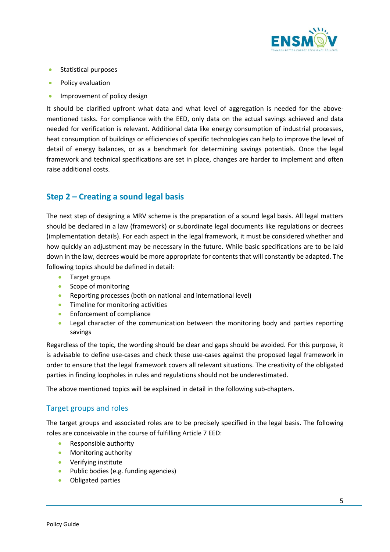

- **Statistical purposes**
- Policy evaluation
- **•** Improvement of policy design

It should be clarified upfront what data and what level of aggregation is needed for the abovementioned tasks. For compliance with the EED, only data on the actual savings achieved and data needed for verification is relevant. Additional data like energy consumption of industrial processes, heat consumption of buildings or efficiencies of specific technologies can help to improve the level of detail of energy balances, or as a benchmark for determining savings potentials. Once the legal framework and technical specifications are set in place, changes are harder to implement and often raise additional costs.

# <span id="page-5-0"></span>**Step 2 – Creating a sound legal basis**

The next step of designing a MRV scheme is the preparation of a sound legal basis. All legal matters should be declared in a law (framework) or subordinate legal documents like regulations or decrees (implementation details). For each aspect in the legal framework, it must be considered whether and how quickly an adjustment may be necessary in the future. While basic specifications are to be laid down in the law, decrees would be more appropriate for contents that will constantly be adapted. The following topics should be defined in detail:

- **•** Target groups
- Scope of monitoring
- Reporting processes (both on national and international level)
- Timeline for monitoring activities
- **Enforcement of compliance**
- Legal character of the communication between the monitoring body and parties reporting savings

Regardless of the topic, the wording should be clear and gaps should be avoided. For this purpose, it is advisable to define use-cases and check these use-cases against the proposed legal framework in order to ensure that the legal framework covers all relevant situations. The creativity of the obligated parties in finding loopholes in rules and regulations should not be underestimated.

The above mentioned topics will be explained in detail in the following sub-chapters.

## Target groups and roles

The target groups and associated roles are to be precisely specified in the legal basis. The following roles are conceivable in the course of fulfilling Article 7 EED:

- Responsible authority
- **•** Monitoring authority
- Verifying institute
- Public bodies (e.g. funding agencies)
- Obligated parties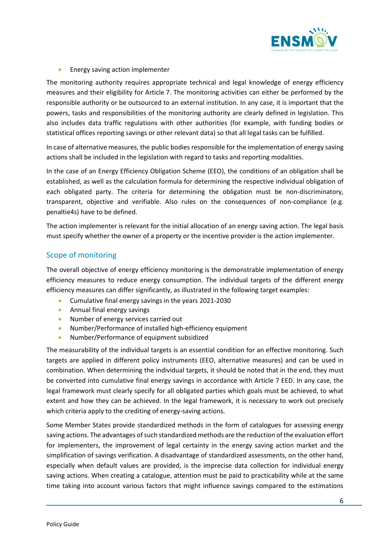

**Energy saving action implementer** 

The monitoring authority requires appropriate technical and legal knowledge of energy efficiency measures and their eligibility for Article 7. The monitoring activities can either be performed by the responsible authority or be outsourced to an external institution. In any case, it is important that the powers, tasks and responsibilities of the monitoring authority are clearly defined in legislation. This also includes data traffic regulations with other authorities (for example, with funding bodies or statistical offices reporting savings or other relevant data) so that all legal tasks can be fulfilled.

In case of alternative measures, the public bodies responsible for the implementation of energy saving actions shall be included in the legislation with regard to tasks and reporting modalities.

In the case of an Energy Efficiency Obligation Scheme (EEO), the conditions of an obligation shall be established, as well as the calculation formula for determining the respective individual obligation of each obligated party. The criteria for determining the obligation must be non-discriminatory, transparent, objective and verifiable. Also rules on the consequences of non-compliance (e.g. penaltie4s) have to be defined.

The action implementer is relevant for the initial allocation of an energy saving action. The legal basis must specify whether the owner of a property or the incentive provider is the action implementer.

## <span id="page-6-0"></span>Scope of monitoring

The overall objective of energy efficiency monitoring is the demonstrable implementation of energy efficiency measures to reduce energy consumption. The individual targets of the different energy efficiency measures can differ significantly, as illustrated in the following target examples:

- Cumulative final energy savings in the years 2021-2030
- **•** Annual final energy savings
- Number of energy services carried out
- Number/Performance of installed high-efficiency equipment
- Number/Performance of equipment subsidized

The measurability of the individual targets is an essential condition for an effective monitoring. Such targets are applied in different policy instruments (EEO, alternative measures) and can be used in combination. When determining the individual targets, it should be noted that in the end, they must be converted into cumulative final energy savings in accordance with Article 7 EED. In any case, the legal framework must clearly specify for all obligated parties which goals must be achieved, to what extent and how they can be achieved. In the legal framework, it is necessary to work out precisely which criteria apply to the crediting of energy-saving actions.

Some Member States provide standardized methods in the form of catalogues for assessing energy saving actions. The advantages of such standardized methods are the reduction of the evaluation effort for implementers, the improvement of legal certainty in the energy saving action market and the simplification of savings verification. A disadvantage of standardized assessments, on the other hand, especially when default values are provided, is the imprecise data collection for individual energy saving actions. When creating a catalogue, attention must be paid to practicability while at the same time taking into account various factors that might influence savings compared to the estimations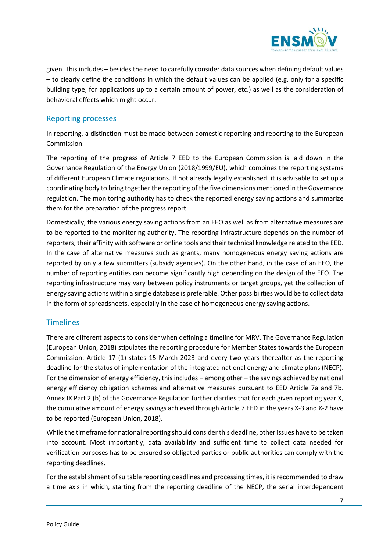

given. This includes – besides the need to carefully consider data sources when defining default values – to clearly define the conditions in which the default values can be applied (e.g. only for a specific building type, for applications up to a certain amount of power, etc.) as well as the consideration of behavioral effects which might occur.

### <span id="page-7-0"></span>Reporting processes

In reporting, a distinction must be made between domestic reporting and reporting to the European Commission.

The reporting of the progress of Article 7 EED to the European Commission is laid down in the Governance Regulation of the Energy Union (2018/1999/EU), which combines the reporting systems of different European Climate regulations. If not already legally established, it is advisable to set up a coordinating body to bring together the reporting of the five dimensions mentioned in the Governance regulation. The monitoring authority has to check the reported energy saving actions and summarize them for the preparation of the progress report.

Domestically, the various energy saving actions from an EEO as well as from alternative measures are to be reported to the monitoring authority. The reporting infrastructure depends on the number of reporters, their affinity with software or online tools and their technical knowledge related to the EED. In the case of alternative measures such as grants, many homogeneous energy saving actions are reported by only a few submitters (subsidy agencies). On the other hand, in the case of an EEO, the number of reporting entities can become significantly high depending on the design of the EEO. The reporting infrastructure may vary between policy instruments or target groups, yet the collection of energy saving actions within a single database is preferable. Other possibilities would be to collect data in the form of spreadsheets, especially in the case of homogeneous energy saving actions.

#### <span id="page-7-1"></span>**Timelines**

There are different aspects to consider when defining a timeline for MRV. The Governance Regulation (European Union, 2018) stipulates the reporting procedure for Member States towards the European Commission: Article 17 (1) states 15 March 2023 and every two years thereafter as the reporting deadline for the status of implementation of the integrated national energy and climate plans (NECP). For the dimension of energy efficiency, this includes – among other – the savings achieved by national energy efficiency obligation schemes and alternative measures pursuant to EED Article 7a and 7b. Annex IX Part 2 (b) of the Governance Regulation further clarifies that for each given reporting year X, the cumulative amount of energy savings achieved through Article 7 EED in the years X-3 and X-2 have to be reported (European Union, 2018).

While the timeframe for national reporting should consider this deadline, other issues have to be taken into account. Most importantly, data availability and sufficient time to collect data needed for verification purposes has to be ensured so obligated parties or public authorities can comply with the reporting deadlines.

For the establishment of suitable reporting deadlines and processing times, it is recommended to draw a time axis in which, starting from the reporting deadline of the NECP, the serial interdependent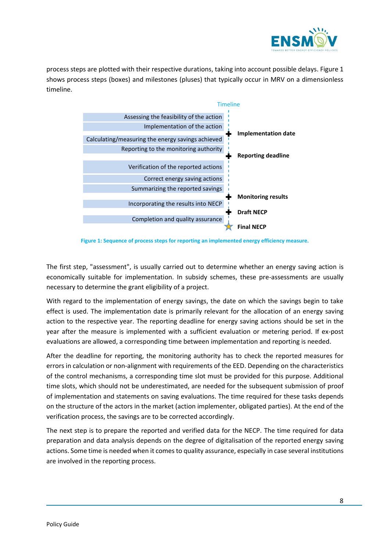

process steps are plotted with their respective durations, taking into account possible delays. [Figure 1](#page-8-0) shows process steps (boxes) and milestones (pluses) that typically occur in MRV on a dimensionless timeline.



**Figure 1: Sequence of process steps for reporting an implemented energy efficiency measure.**

<span id="page-8-0"></span>The first step, "assessment", is usually carried out to determine whether an energy saving action is economically suitable for implementation. In subsidy schemes, these pre-assessments are usually necessary to determine the grant eligibility of a project.

With regard to the implementation of energy savings, the date on which the savings begin to take effect is used. The implementation date is primarily relevant for the allocation of an energy saving action to the respective year. The reporting deadline for energy saving actions should be set in the year after the measure is implemented with a sufficient evaluation or metering period. If ex-post evaluations are allowed, a corresponding time between implementation and reporting is needed.

After the deadline for reporting, the monitoring authority has to check the reported measures for errors in calculation or non-alignment with requirements of the EED. Depending on the characteristics of the control mechanisms, a corresponding time slot must be provided for this purpose. Additional time slots, which should not be underestimated, are needed for the subsequent submission of proof of implementation and statements on saving evaluations. The time required for these tasks depends on the structure of the actors in the market (action implementer, obligated parties). At the end of the verification process, the savings are to be corrected accordingly.

The next step is to prepare the reported and verified data for the NECP. The time required for data preparation and data analysis depends on the degree of digitalisation of the reported energy saving actions. Some time is needed when it comes to quality assurance, especially in case several institutions are involved in the reporting process.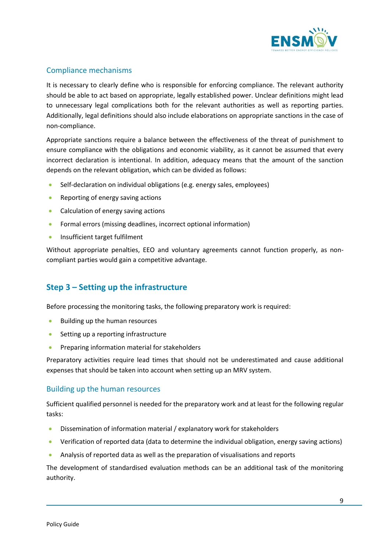

## <span id="page-9-0"></span>Compliance mechanisms

It is necessary to clearly define who is responsible for enforcing compliance. The relevant authority should be able to act based on appropriate, legally established power. Unclear definitions might lead to unnecessary legal complications both for the relevant authorities as well as reporting parties. Additionally, legal definitions should also include elaborations on appropriate sanctions in the case of non-compliance.

Appropriate sanctions require a balance between the effectiveness of the threat of punishment to ensure compliance with the obligations and economic viability, as it cannot be assumed that every incorrect declaration is intentional. In addition, adequacy means that the amount of the sanction depends on the relevant obligation, which can be divided as follows:

- Self-declaration on individual obligations (e.g. energy sales, employees)
- Reporting of energy saving actions
- Calculation of energy saving actions
- Formal errors (missing deadlines, incorrect optional information)
- Insufficient target fulfilment

Without appropriate penalties, EEO and voluntary agreements cannot function properly, as noncompliant parties would gain a competitive advantage.

# <span id="page-9-1"></span>**Step 3 – Setting up the infrastructure**

Before processing the monitoring tasks, the following preparatory work is required:

- **Building up the human resources**
- Setting up a reporting infrastructure
- Preparing information material for stakeholders

Preparatory activities require lead times that should not be underestimated and cause additional expenses that should be taken into account when setting up an MRV system.

#### <span id="page-9-2"></span>Building up the human resources

Sufficient qualified personnel is needed for the preparatory work and at least for the following regular tasks:

- Dissemination of information material / explanatory work for stakeholders
- Verification of reported data (data to determine the individual obligation, energy saving actions)
- Analysis of reported data as well as the preparation of visualisations and reports

The development of standardised evaluation methods can be an additional task of the monitoring authority.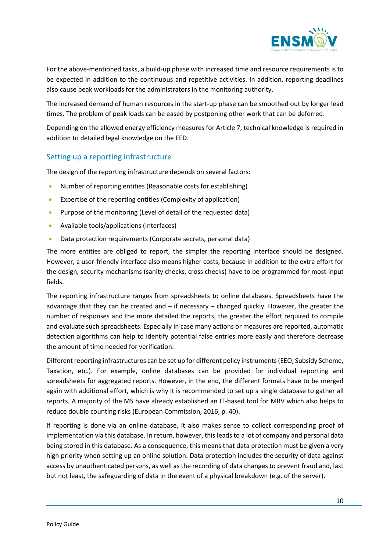

For the above-mentioned tasks, a build-up phase with increased time and resource requirements is to be expected in addition to the continuous and repetitive activities. In addition, reporting deadlines also cause peak workloads for the administrators in the monitoring authority.

The increased demand of human resources in the start-up phase can be smoothed out by longer lead times. The problem of peak loads can be eased by postponing other work that can be deferred.

Depending on the allowed energy efficiency measures for Article 7, technical knowledge is required in addition to detailed legal knowledge on the EED.

### <span id="page-10-0"></span>Setting up a reporting infrastructure

The design of the reporting infrastructure depends on several factors:

- Number of reporting entities (Reasonable costs for establishing)
- Expertise of the reporting entities (Complexity of application)
- Purpose of the monitoring (Level of detail of the requested data)
- Available tools/applications (Interfaces)
- Data protection requirements (Corporate secrets, personal data)

The more entities are obliged to report, the simpler the reporting interface should be designed. However, a user-friendly interface also means higher costs, because in addition to the extra effort for the design, security mechanisms (sanity checks, cross checks) have to be programmed for most input fields.

The reporting infrastructure ranges from spreadsheets to online databases. Spreadsheets have the advantage that they can be created and  $-$  if necessary  $-$  changed quickly. However, the greater the number of responses and the more detailed the reports, the greater the effort required to compile and evaluate such spreadsheets. Especially in case many actions or measures are reported, automatic detection algorithms can help to identify potential false entries more easily and therefore decrease the amount of time needed for verification.

Different reporting infrastructures can be set up for different policy instruments (EEO, Subsidy Scheme, Taxation, etc.). For example, online databases can be provided for individual reporting and spreadsheets for aggregated reports. However, in the end, the different formats have to be merged again with additional effort, which is why it is recommended to set up a single database to gather all reports. A majority of the MS have already established an IT-based tool for MRV which also helps to reduce double counting risks (European Commission, 2016, p. 40).

If reporting is done via an online database, it also makes sense to collect corresponding proof of implementation via this database. In return, however, this leads to a lot of company and personal data being stored in this database. As a consequence, this means that data protection must be given a very high priority when setting up an online solution. Data protection includes the security of data against access by unauthenticated persons, as well as the recording of data changes to prevent fraud and, last but not least, the safeguarding of data in the event of a physical breakdown (e.g. of the server).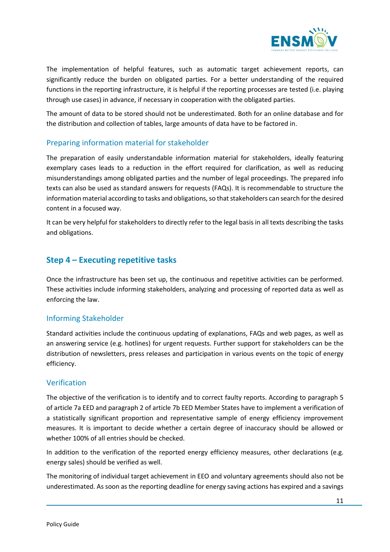

The implementation of helpful features, such as automatic target achievement reports, can significantly reduce the burden on obligated parties. For a better understanding of the required functions in the reporting infrastructure, it is helpful if the reporting processes are tested (i.e. playing through use cases) in advance, if necessary in cooperation with the obligated parties.

The amount of data to be stored should not be underestimated. Both for an online database and for the distribution and collection of tables, large amounts of data have to be factored in.

## Preparing information material for stakeholder

The preparation of easily understandable information material for stakeholders, ideally featuring exemplary cases leads to a reduction in the effort required for clarification, as well as reducing misunderstandings among obligated parties and the number of legal proceedings. The prepared info texts can also be used as standard answers for requests (FAQs). It is recommendable to structure the information material according to tasks and obligations, so that stakeholders can search for the desired content in a focused way.

It can be very helpful for stakeholders to directly refer to the legal basis in all texts describing the tasks and obligations.

# <span id="page-11-0"></span>**Step 4 – Executing repetitive tasks**

Once the infrastructure has been set up, the continuous and repetitive activities can be performed. These activities include informing stakeholders, analyzing and processing of reported data as well as enforcing the law.

#### <span id="page-11-1"></span>Informing Stakeholder

Standard activities include the continuous updating of explanations, FAQs and web pages, as well as an answering service (e.g. hotlines) for urgent requests. Further support for stakeholders can be the distribution of newsletters, press releases and participation in various events on the topic of energy efficiency.

#### <span id="page-11-2"></span>Verification

The objective of the verification is to identify and to correct faulty reports. According to paragraph 5 of article 7a EED and paragraph 2 of article 7b EED Member States have to implement a verification of a statistically significant proportion and representative sample of energy efficiency improvement measures. It is important to decide whether a certain degree of inaccuracy should be allowed or whether 100% of all entries should be checked.

In addition to the verification of the reported energy efficiency measures, other declarations (e.g. energy sales) should be verified as well.

The monitoring of individual target achievement in EEO and voluntary agreements should also not be underestimated. As soon as the reporting deadline for energy saving actions has expired and a savings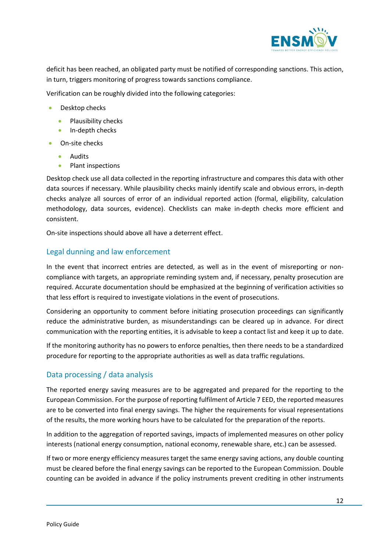

deficit has been reached, an obligated party must be notified of corresponding sanctions. This action, in turn, triggers monitoring of progress towards sanctions compliance.

Verification can be roughly divided into the following categories:

- Desktop checks
	- Plausibility checks
	- In-depth checks
- On-site checks
	- Audits
	- Plant inspections

Desktop check use all data collected in the reporting infrastructure and compares this data with other data sources if necessary. While plausibility checks mainly identify scale and obvious errors, in-depth checks analyze all sources of error of an individual reported action (formal, eligibility, calculation methodology, data sources, evidence). Checklists can make in-depth checks more efficient and consistent.

On-site inspections should above all have a deterrent effect.

#### <span id="page-12-0"></span>Legal dunning and law enforcement

In the event that incorrect entries are detected, as well as in the event of misreporting or noncompliance with targets, an appropriate reminding system and, if necessary, penalty prosecution are required. Accurate documentation should be emphasized at the beginning of verification activities so that less effort is required to investigate violations in the event of prosecutions.

Considering an opportunity to comment before initiating prosecution proceedings can significantly reduce the administrative burden, as misunderstandings can be cleared up in advance. For direct communication with the reporting entities, it is advisable to keep a contact list and keep it up to date.

If the monitoring authority has no powers to enforce penalties, then there needs to be a standardized procedure for reporting to the appropriate authorities as well as data traffic regulations.

#### <span id="page-12-1"></span>Data processing / data analysis

The reported energy saving measures are to be aggregated and prepared for the reporting to the European Commission. For the purpose of reporting fulfilment of Article 7 EED, the reported measures are to be converted into final energy savings. The higher the requirements for visual representations of the results, the more working hours have to be calculated for the preparation of the reports.

In addition to the aggregation of reported savings, impacts of implemented measures on other policy interests (national energy consumption, national economy, renewable share, etc.) can be assessed.

If two or more energy efficiency measures target the same energy saving actions, any double counting must be cleared before the final energy savings can be reported to the European Commission. Double counting can be avoided in advance if the policy instruments prevent crediting in other instruments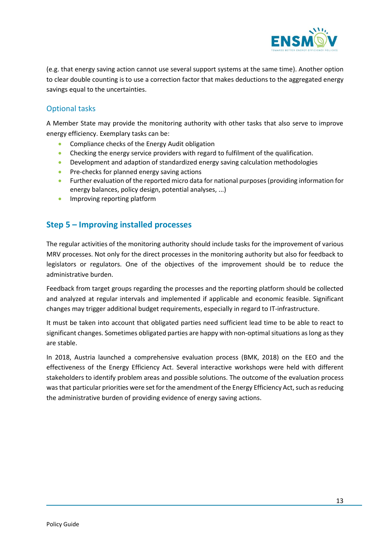

(e.g. that energy saving action cannot use several support systems at the same time). Another option to clear double counting is to use a correction factor that makes deductions to the aggregated energy savings equal to the uncertainties.

## <span id="page-13-0"></span>Optional tasks

A Member State may provide the monitoring authority with other tasks that also serve to improve energy efficiency. Exemplary tasks can be:

- **•** Compliance checks of the Energy Audit obligation
- Checking the energy service providers with regard to fulfilment of the qualification.
- Development and adaption of standardized energy saving calculation methodologies
- Pre-checks for planned energy saving actions
- **•** Further evaluation of the reported micro data for national purposes (providing information for energy balances, policy design, potential analyses, ...)
- <span id="page-13-1"></span>**•** Improving reporting platform

# **Step 5 – Improving installed processes**

The regular activities of the monitoring authority should include tasks for the improvement of various MRV processes. Not only for the direct processes in the monitoring authority but also for feedback to legislators or regulators. One of the objectives of the improvement should be to reduce the administrative burden.

Feedback from target groups regarding the processes and the reporting platform should be collected and analyzed at regular intervals and implemented if applicable and economic feasible. Significant changes may trigger additional budget requirements, especially in regard to IT-infrastructure.

It must be taken into account that obligated parties need sufficient lead time to be able to react to significant changes. Sometimes obligated parties are happy with non-optimal situations as long as they are stable.

In 2018, Austria launched a comprehensive evaluation process (BMK, 2018) on the EEO and the effectiveness of the Energy Efficiency Act. Several interactive workshops were held with different stakeholders to identify problem areas and possible solutions. The outcome of the evaluation process was that particular priorities were set for the amendment of the Energy Efficiency Act, such as reducing the administrative burden of providing evidence of energy saving actions.